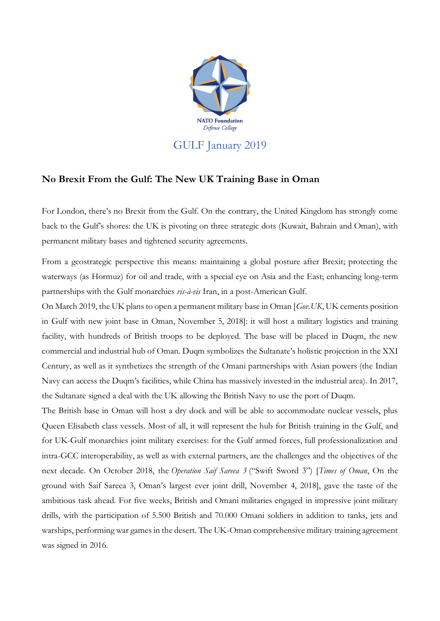

## **No Brexit From the Gulf: The New UK Training Base in Oman**

For London, there's no Brexit from the Gulf. On the contrary, the United Kingdom has strongly come back to the Gulf's shores: the UK is pivoting on three strategic dots (Kuwait, Bahrain and Oman), with permanent military bases and tightened security agreements.

From a geostrategic perspective this means: maintaining a global posture after Brexit; protecting the waterways (as Hormuz) for oil and trade, with a special eye on Asia and the East; enhancing long-term partnerships with the Gulf monarchies *vis-à-vis* Iran, in a post-American Gulf.

On March 2019, the UK plans to open a permanent military base in Oman [*Gov.UK*, UK cements position in Gulf with new joint base in Oman, November 5, 2018]: it will host a military logistics and training facility, with hundreds of British troops to be deployed. The base will be placed in Duqm, the new commercial and industrial hub of Oman. Duqm symbolizes the Sultanate's holistic projection in the XXI Century, as well as it synthetizes the strength of the Omani partnerships with Asian powers (the Indian Navy can access the Duqm's facilities, while China has massively invested in the industrial area). In 2017, the Sultanate signed a deal with the UK allowing the British Navy to use the port of Duqm.

The British base in Oman will host a dry dock and will be able to accommodate nuclear vessels, plus Queen Elisabeth class vessels. Most of all, it will represent the hub for British training in the Gulf, and for UK-Gulf monarchies joint military exercises: for the Gulf armed forces, full professionalization and intra-GCC interoperability, as well as with external partners, are the challenges and the objectives of the next decade. On October 2018, the *Operation Saif Sareea 3* ("Swift Sword 3") [*Times of Oman*, On the ground with Saif Sareea 3, Oman's largest ever joint drill, November 4, 2018], gave the taste of the ambitious task ahead. For five weeks, British and Omani militaries engaged in impressive joint military drills, with the participation of 5.500 British and 70.000 Omani soldiers in addition to tanks, jets and warships, performing war games in the desert. The UK-Oman comprehensive military training agreement was signed in 2016.